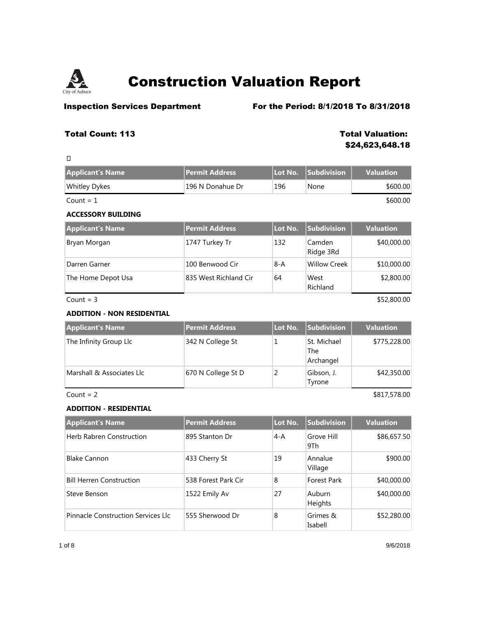

 $\Box$ 

# **Construction Valuation Report**

## **Inspection Services Department** For the Period: 8/1/2018 To 8/31/2018

## **Total Count: 113 Total Valuation:**

**\$24,623,648.18**

| <b>Applicant's Name</b>           | <b>Permit Address</b> | Lot No.        | <b>Subdivision</b>              | <b>Valuation</b> |
|-----------------------------------|-----------------------|----------------|---------------------------------|------------------|
| <b>Whitley Dykes</b>              | 196 N Donahue Dr      | 196            | None                            | \$600.00         |
| Count $= 1$                       |                       |                |                                 | \$600.00         |
| <b>ACCESSORY BUILDING</b>         |                       |                |                                 |                  |
| <b>Applicant's Name</b>           | <b>Permit Address</b> | Lot No.        | <b>Subdivision</b>              | <b>Valuation</b> |
| Bryan Morgan                      | 1747 Turkey Tr        | 132            | Camden<br>Ridge 3Rd             | \$40,000.00      |
| Darren Garner                     | 100 Benwood Cir       | $8-A$          | <b>Willow Creek</b>             | \$10,000.00      |
| The Home Depot Usa                | 835 West Richland Cir | 64             | West<br>Richland                | \$2,800.00       |
| Count = $3$                       |                       |                |                                 | \$52,800.00      |
| <b>ADDITION - NON RESIDENTIAL</b> |                       |                |                                 |                  |
| <b>Applicant's Name</b>           | <b>Permit Address</b> | Lot No.        | <b>Subdivision</b>              | <b>Valuation</b> |
| The Infinity Group Llc            | 342 N College St      | 1              | St. Michael<br>The<br>Archangel | \$775,228.00     |
| Marshall & Associates Llc         | 670 N College St D    | $\overline{2}$ | Gibson, J.<br>Tyrone            | \$42,350.00      |
| Count = $2$                       |                       |                |                                 | \$817,578.00     |
| <b>ADDITION - RESIDENTIAL</b>     |                       |                |                                 |                  |
| <b>Applicant's Name</b>           | <b>Permit Address</b> | Lot No.        | <b>Subdivision</b>              | <b>Valuation</b> |
| <b>Herb Rabren Construction</b>   | 895 Stanton Dr        | $4 - A$        | Grove Hill<br>9Th               | \$86,657.50      |
| <b>Blake Cannon</b>               | 433 Cherry St         | 19             | Annalue<br>Village              | \$900.00         |
| <b>Bill Herren Construction</b>   | 538 Forest Park Cir   | 8              | <b>Forest Park</b>              | \$40,000.00      |
| Steve Benson                      | 1522 Emily Av         | 27             | Auburn                          | \$40,000.00      |

Pinnacle Construction Services Llc 555 Sherwood Dr 8 Grimes &

\$52,280.00

Heights

Isabell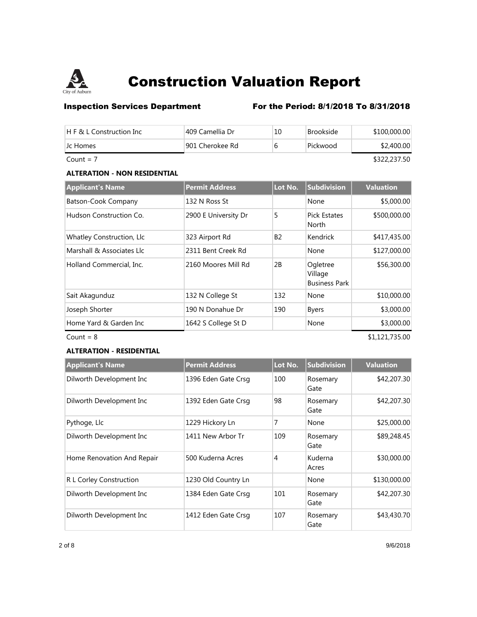

## **Inspection Services Department** For the Period: 8/1/2018 To 8/31/2018

| $H \in \mathcal{R}$ L Construction Inc | 409 Camellia Dr | 10 | <b>Brookside</b> | \$100,000.00 |
|----------------------------------------|-----------------|----|------------------|--------------|
| LC Homes                               | 901 Cherokee Rd | 6  | Pickwood         | \$2,400.00   |
| Count = $7$                            |                 |    |                  | \$322,237.50 |

## **ALTERATION - NON RESIDENTIAL**

| <b>Applicant's Name</b>   | <b>Permit Address</b> | Lot No.   | Subdivision                                 | <b>Valuation</b> |
|---------------------------|-----------------------|-----------|---------------------------------------------|------------------|
| Batson-Cook Company       | 132 N Ross St         |           | None                                        | \$5,000.00       |
| Hudson Construction Co.   | 2900 E University Dr  | 5         | <b>Pick Estates</b><br>North                | \$500,000.00     |
| Whatley Construction, Llc | 323 Airport Rd        | <b>B2</b> | Kendrick                                    | \$417,435.00     |
| Marshall & Associates Llc | 2311 Bent Creek Rd    |           | None                                        | \$127,000.00     |
| Holland Commercial, Inc.  | 2160 Moores Mill Rd   | 2B        | Ogletree<br>Village<br><b>Business Park</b> | \$56,300.00      |
| Sait Akagunduz            | 132 N College St      | 132       | None                                        | \$10,000.00      |
| Joseph Shorter            | 190 N Donahue Dr      | 190       | <b>Byers</b>                                | \$3,000.00       |
| Home Yard & Garden Inc    | 1642 S College St D   |           | None                                        | \$3,000.00       |
| Count = $8$               |                       |           |                                             | \$1,121,735.00   |

### **ALTERATION - RESIDENTIAL**

| <b>Applicant's Name</b>    | <b>Permit Address</b> | Lot No. | <b>Subdivision</b> | <b>Valuation</b> |
|----------------------------|-----------------------|---------|--------------------|------------------|
| Dilworth Development Inc   | 1396 Eden Gate Crsg   | 100     | Rosemary<br>Gate   | \$42,207.30      |
| Dilworth Development Inc   | 1392 Eden Gate Crsg   | 98      | Rosemary<br>Gate   | \$42,207.30      |
| Pythoge, Llc               | 1229 Hickory Ln       | 7       | None               | \$25,000.00      |
| Dilworth Development Inc   | 1411 New Arbor Tr     | 109     | Rosemary<br>Gate   | \$89,248.45      |
| Home Renovation And Repair | 500 Kuderna Acres     | 4       | Kuderna<br>Acres   | \$30,000.00      |
| R L Corley Construction    | 1230 Old Country Ln   |         | None               | \$130,000.00     |
| Dilworth Development Inc   | 1384 Eden Gate Crsg   | 101     | Rosemary<br>Gate   | \$42,207.30      |
| Dilworth Development Inc   | 1412 Eden Gate Crsg   | 107     | Rosemary<br>Gate   | \$43,430.70      |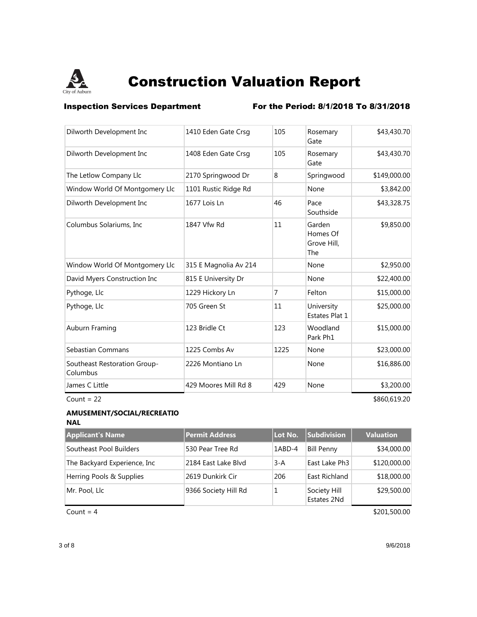

**Inspection Services Department** For the Period: 8/1/2018 To 8/31/2018

| Count = $22$                             |                       |      |                                                 | \$860,619.20 |
|------------------------------------------|-----------------------|------|-------------------------------------------------|--------------|
| James C Little                           | 429 Moores Mill Rd 8  | 429  | None                                            | \$3,200.00   |
| Southeast Restoration Group-<br>Columbus | 2226 Montiano Ln      |      | None                                            | \$16,886.00  |
| Sebastian Commans                        | 1225 Combs Av         | 1225 | None                                            | \$23,000.00  |
| Auburn Framing                           | 123 Bridle Ct         | 123  | Woodland<br>Park Ph1                            | \$15,000.00  |
| Pythoge, Llc                             | 705 Green St          | 11   | University<br>Estates Plat 1                    | \$25,000.00  |
| Pythoge, Llc                             | 1229 Hickory Ln       | 7    | Felton                                          | \$15,000.00  |
| David Myers Construction Inc             | 815 E University Dr   |      | None                                            | \$22,400.00  |
| Window World Of Montgomery Llc           | 315 E Magnolia Av 214 |      | None                                            | \$2,950.00   |
| Columbus Solariums, Inc.                 | 1847 Vfw Rd           | 11   | Garden<br>Homes Of<br>Grove Hill,<br><b>The</b> | \$9,850.00   |
| Dilworth Development Inc                 | 1677 Lois Ln          | 46   | Pace<br>Southside                               | \$43,328.75  |
| Window World Of Montgomery Llc           | 1101 Rustic Ridge Rd  |      | None                                            | \$3,842.00   |
| The Letlow Company Llc                   | 2170 Springwood Dr    | 8    | Springwood                                      | \$149,000.00 |
| Dilworth Development Inc                 | 1408 Eden Gate Crsg   | 105  | Rosemary<br>Gate                                | \$43,430.70  |
| Dilworth Development Inc                 | 1410 Eden Gate Crsg   | 105  | Rosemary<br>Gate                                | \$43,430.70  |

### **AMUSEMENT/SOCIAL/RECREATIO NAL**

| <b>Applicant's Name</b>       | Permit Address       | Lot No. | <b>Subdivision</b>          | <b>Valuation</b> |
|-------------------------------|----------------------|---------|-----------------------------|------------------|
| Southeast Pool Builders       | 530 Pear Tree Rd     | 1ABD-4  | <b>Bill Penny</b>           | \$34,000.00      |
| The Backyard Experience, Inc. | 2184 East Lake Blvd  | $3-A$   | East Lake Ph <sub>3</sub>   | \$120,000.00     |
| Herring Pools & Supplies      | 2619 Dunkirk Cir     | 206     | East Richland               | \$18,000.00      |
| Mr. Pool, Llc                 | 9366 Society Hill Rd |         | Society Hill<br>Estates 2Nd | \$29,500.00      |

 $Count = 4$  \$201,500.00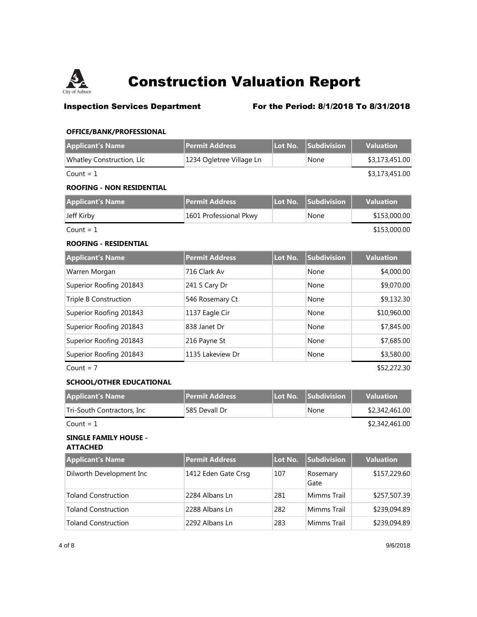

## **Inspection Services Department** For the Period: 8/1/2018 To 8/31/2018

## **OFFICE/BANK/PROFESSIONAL**

| <b>Applicant's Name</b>          | <b>Permit Address</b>    | Lot No. | <b>Subdivision</b> | <b>Valuation</b> |
|----------------------------------|--------------------------|---------|--------------------|------------------|
| Whatley Construction, Llc        | 1234 Ogletree Village Ln |         | None               | \$3,173,451.00   |
| Count = $1$                      |                          |         |                    | \$3,173,451.00   |
| <b>ROOFING - NON RESIDENTIAL</b> |                          |         |                    |                  |
| <b>Applicant's Name</b>          | <b>Permit Address</b>    | Lot No. | Subdivision        | <b>Valuation</b> |
| Jeff Kirby                       | 1601 Professional Pkwy   |         | None               | \$153,000.00     |
| Count = $1$                      |                          |         |                    | \$153,000.00     |
| <b>ROOFING - RESIDENTIAL</b>     |                          |         |                    |                  |
| <b>Applicant's Name</b>          | <b>Permit Address</b>    | Lot No. | Subdivision        | <b>Valuation</b> |
| Warren Morgan                    | 716 Clark Av             |         | None               | \$4,000.00       |
| Superior Roofing 201843          | 241 S Cary Dr            |         | None               | \$9,070.00       |
| <b>Triple B Construction</b>     | 546 Rosemary Ct          |         | None               | \$9,132.30       |
| Superior Roofing 201843          | 1137 Eagle Cir           |         | None               | \$10,960.00      |
| Superior Roofing 201843          | 838 Janet Dr             |         | None               | \$7,845.00       |
| Superior Roofing 201843          | 216 Payne St             |         | None               | \$7,685.00       |
| Superior Roofing 201843          | 1135 Lakeview Dr         |         | None               | \$3,580.00       |
| Count = $7$                      |                          |         |                    | \$52,272.30      |
| <b>SCHOOL/OTHER EDUCATIONAL</b>  |                          |         |                    |                  |

| <b>Applicant's Name</b>    | <b>Permit Address</b> | l Lot No. Subdivision | <b>Valuation</b> |
|----------------------------|-----------------------|-----------------------|------------------|
| Tri-South Contractors, Inc | 585 Devall Dr         | None                  | \$2,342,461.00   |
| Count = $1$                | \$2,342,461.00        |                       |                  |

### **SINGLE FAMILY HOUSE - ATTACHED**

| <b>Applicant's Name</b>    | Permit Address      | Lot No. | <b>Subdivision</b> | <b>Valuation</b> |
|----------------------------|---------------------|---------|--------------------|------------------|
| Dilworth Development Inc   | 1412 Eden Gate Crsg | 107     | Rosemary<br>Gate   | \$157,229.60     |
| <b>Toland Construction</b> | 2284 Albans Ln      | 281     | Mimms Trail        | \$257,507.39     |
| <b>Toland Construction</b> | 2288 Albans Ln      | 282     | Mimms Trail        | \$239,094.89     |
| <b>Toland Construction</b> | 2292 Albans Ln      | 283     | Mimms Trail        | \$239,094.89     |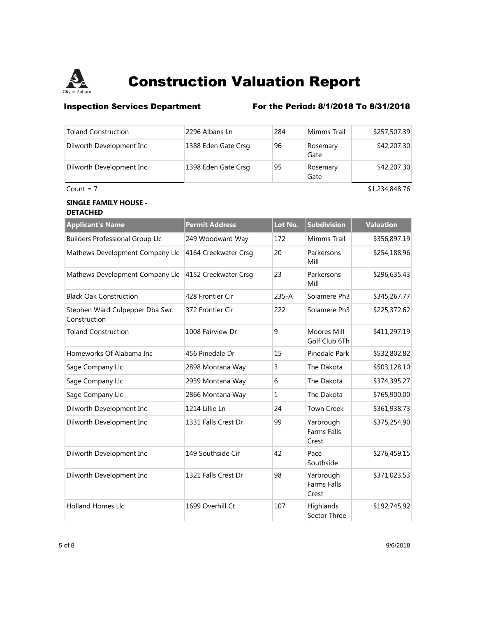

## **Inspection Services Department** For the Period: 8/1/2018 To 8/31/2018

| <b>Toland Construction</b> | 2296 Albans Ln      | 284 | Mimms Trail      | \$257,507.39   |
|----------------------------|---------------------|-----|------------------|----------------|
| Dilworth Development Inc   | 1388 Eden Gate Crsg | 96  | Rosemary<br>Gate | \$42,207.30    |
| Dilworth Development Inc   | 1398 Eden Gate Crsg | 95  | Rosemary<br>Gate | \$42,207.30    |
| Count = $7$                |                     |     |                  | \$1,234,848.76 |

### **SINGLE FAMILY HOUSE - DETACHED**

| <b>Applicant's Name</b>                        | <b>Permit Address</b> | Lot No.   | <b>Subdivision</b>                       | <b>Valuation</b> |
|------------------------------------------------|-----------------------|-----------|------------------------------------------|------------------|
| <b>Builders Professional Group Llc</b>         | 249 Woodward Way      | 172       | Mimms Trail                              | \$356,897.19     |
| Mathews Development Company Llc                | 4164 Creekwater Crsg  | 20        | Parkersons<br>Mill                       | \$254,188.96     |
| Mathews Development Company Llc                | 4152 Creekwater Crsg  | 23        | Parkersons<br>Mill                       | \$296,635.43     |
| <b>Black Oak Construction</b>                  | 428 Frontier Cir      | $235 - A$ | Solamere Ph <sub>3</sub>                 | \$345,267.77     |
| Stephen Ward Culpepper Dba Swc<br>Construction | 372 Frontier Cir      | 222       | Solamere Ph3                             | \$225,372.62     |
| <b>Toland Construction</b>                     | 1008 Fairview Dr      | 9         | Moores Mill<br>Golf Club 6Th             | \$411,297.19     |
| Homeworks Of Alabama Inc                       | 456 Pinedale Dr       | 15        | Pinedale Park                            | \$532,802.82     |
| Sage Company Llc                               | 2898 Montana Way      | 3         | The Dakota                               | \$503,128.10     |
| Sage Company Llc                               | 2939 Montana Way      | 6         | The Dakota                               | \$374,395.27     |
| Sage Company Llc                               | 2866 Montana Way      | 1         | The Dakota                               | \$765,900.00     |
| Dilworth Development Inc                       | 1214 Lillie Ln        | 24        | <b>Town Creek</b>                        | \$361,938.73     |
| Dilworth Development Inc                       | 1331 Falls Crest Dr   | 99        | Yarbrough<br><b>Farms Falls</b><br>Crest | \$375,254.90     |
| Dilworth Development Inc                       | 149 Southside Cir     | 42        | Pace<br>Southside                        | \$276,459.15     |
| Dilworth Development Inc                       | 1321 Falls Crest Dr   | 98        | Yarbrough<br><b>Farms Falls</b><br>Crest | \$371,023.53     |
| <b>Holland Homes Llc</b>                       | 1699 Overhill Ct      | 107       | Highlands<br>Sector Three                | \$192,745.92     |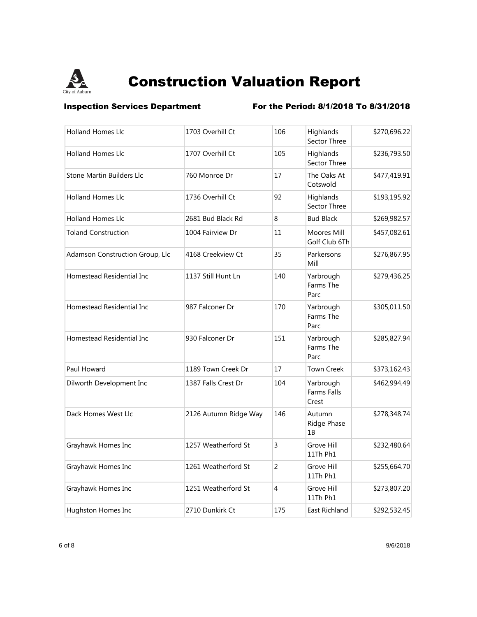

**Inspection Services Department** For the Period: 8/1/2018 To 8/31/2018

| <b>Holland Homes Llc</b>        | 1703 Overhill Ct      | 106            | Highlands<br>Sector Three         | \$270,696.22 |
|---------------------------------|-----------------------|----------------|-----------------------------------|--------------|
| <b>Holland Homes Llc</b>        | 1707 Overhill Ct      | 105            | Highlands<br>Sector Three         | \$236,793.50 |
| Stone Martin Builders Llc       | 760 Monroe Dr         | 17             | The Oaks At<br>Cotswold           | \$477,419.91 |
| <b>Holland Homes Llc</b>        | 1736 Overhill Ct      | 92             | Highlands<br>Sector Three         | \$193,195.92 |
| <b>Holland Homes Llc</b>        | 2681 Bud Black Rd     | 8              | <b>Bud Black</b>                  | \$269,982.57 |
| <b>Toland Construction</b>      | 1004 Fairview Dr      | 11             | Moores Mill<br>Golf Club 6Th      | \$457,082.61 |
| Adamson Construction Group, Llc | 4168 Creekview Ct     | 35             | Parkersons<br>Mill                | \$276,867.95 |
| Homestead Residential Inc       | 1137 Still Hunt Ln    | 140            | Yarbrough<br>Farms The<br>Parc    | \$279,436.25 |
| Homestead Residential Inc       | 987 Falconer Dr       | 170            | Yarbrough<br>Farms The<br>Parc    | \$305,011.50 |
| Homestead Residential Inc       | 930 Falconer Dr       | 151            | Yarbrough<br>Farms The<br>Parc    | \$285,827.94 |
| Paul Howard                     | 1189 Town Creek Dr    | 17             | <b>Town Creek</b>                 | \$373,162.43 |
| Dilworth Development Inc        | 1387 Falls Crest Dr   | 104            | Yarbrough<br>Farms Falls<br>Crest | \$462,994.49 |
| Dack Homes West Llc             | 2126 Autumn Ridge Way | 146            | Autumn<br>Ridge Phase<br>1B       | \$278,348.74 |
| Grayhawk Homes Inc              | 1257 Weatherford St   | 3              | Grove Hill<br>11Th Ph1            | \$232,480.64 |
| Grayhawk Homes Inc              | 1261 Weatherford St   | $\overline{2}$ | Grove Hill<br>11Th Ph1            | \$255,664.70 |
| Grayhawk Homes Inc              | 1251 Weatherford St   | 4              | Grove Hill<br>11Th Ph1            | \$273,807.20 |
| Hughston Homes Inc              | 2710 Dunkirk Ct       | 175            | East Richland                     | \$292,532.45 |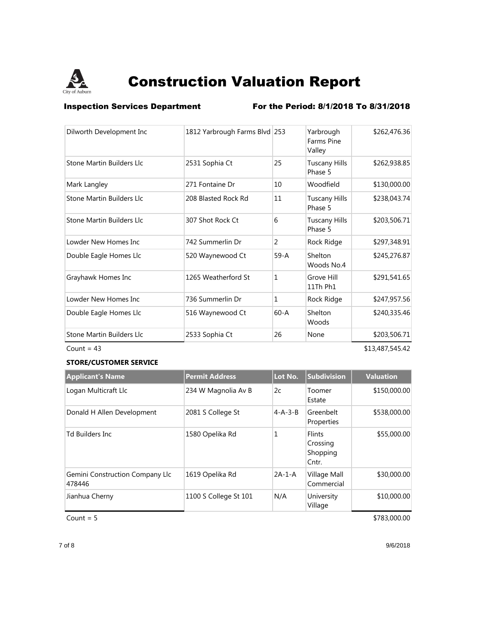

**Inspection Services Department** For the Period: 8/1/2018 To 8/31/2018

| Dilworth Development Inc         | 1812 Yarbrough Farms Blvd 253 |              | Yarbrough<br><b>Farms Pine</b><br>Valley | \$262,476.36    |
|----------------------------------|-------------------------------|--------------|------------------------------------------|-----------------|
| Stone Martin Builders Llc        | 2531 Sophia Ct                | 25           | <b>Tuscany Hills</b><br>Phase 5          | \$262,938.85    |
| Mark Langley                     | 271 Fontaine Dr               | 10           | Woodfield                                | \$130,000.00    |
| <b>Stone Martin Builders Llc</b> | 208 Blasted Rock Rd           | 11           | <b>Tuscany Hills</b><br>Phase 5          | \$238,043.74    |
| Stone Martin Builders Llc        | 307 Shot Rock Ct              | 6            | <b>Tuscany Hills</b><br>Phase 5          | \$203,506.71    |
| Lowder New Homes Inc             | 742 Summerlin Dr              | 2            | Rock Ridge                               | \$297,348.91    |
| Double Eagle Homes Llc           | 520 Waynewood Ct              | $59-A$       | Shelton<br>Woods No.4                    | \$245,276.87    |
| Grayhawk Homes Inc               | 1265 Weatherford St           | $\mathbf{1}$ | Grove Hill<br>11Th Ph1                   | \$291,541.65    |
| Lowder New Homes Inc             | 736 Summerlin Dr              | $\mathbf{1}$ | Rock Ridge                               | \$247,957.56    |
| Double Eagle Homes Llc           | 516 Waynewood Ct              | $60 - A$     | Shelton<br>Woods                         | \$240,335.46    |
| Stone Martin Builders Llc        | 2533 Sophia Ct                | 26           | None                                     | \$203,506.71    |
| Count = $43$                     |                               |              |                                          | \$13,487,545.42 |

### **STORE/CUSTOMER SERVICE**

| <b>Applicant's Name</b>                   | <b>Permit Address</b> | Lot No.         | Subdivision                                    | <b>Valuation</b> |
|-------------------------------------------|-----------------------|-----------------|------------------------------------------------|------------------|
| Logan Multicraft Llc                      | 234 W Magnolia Av B   | 2c              | Toomer<br>Estate                               | \$150,000.00     |
| Donald H Allen Development                | 2081 S College St     | $4 - A - 3 - B$ | Greenbelt<br>Properties                        | \$538,000.00     |
| <b>Td Builders Inc.</b>                   | 1580 Opelika Rd       | 1               | <b>Flints</b><br>Crossing<br>Shopping<br>Cntr. | \$55,000.00      |
| Gemini Construction Company Llc<br>478446 | 1619 Opelika Rd       | $2A-1-A$        | Village Mall<br>Commercial                     | \$30,000.00      |
| Jianhua Cherny                            | 1100 S College St 101 | N/A             | University<br>Village                          | \$10,000.00      |

 $Count = 5$  \$783,000.00